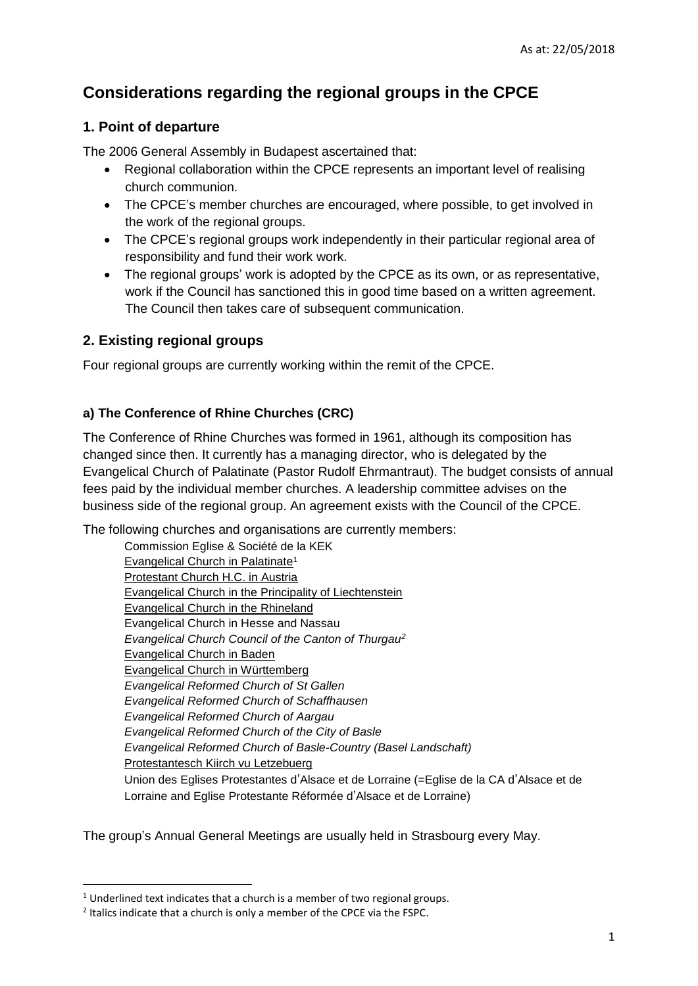# **Considerations regarding the regional groups in the CPCE**

# **1. Point of departure**

The 2006 General Assembly in Budapest ascertained that:

- Regional collaboration within the CPCE represents an important level of realising church communion.
- The CPCE's member churches are encouraged, where possible, to get involved in the work of the regional groups.
- The CPCE's regional groups work independently in their particular regional area of responsibility and fund their work work.
- The regional groups' work is adopted by the CPCE as its own, or as representative, work if the Council has sanctioned this in good time based on a written agreement. The Council then takes care of subsequent communication.

## **2. Existing regional groups**

Four regional groups are currently working within the remit of the CPCE.

## **a) The Conference of Rhine Churches (CRC)**

The Conference of Rhine Churches was formed in 1961, although its composition has changed since then. It currently has a managing director, who is delegated by the Evangelical Church of Palatinate (Pastor Rudolf Ehrmantraut). The budget consists of annual fees paid by the individual member churches. A leadership committee advises on the business side of the regional group. An agreement exists with the Council of the CPCE.

The following churches and organisations are currently members:

Commission Eglise & Société de la KEK Evangelical Church in Palatinate<sup>1</sup> Protestant Church H.C. in Austria Evangelical Church in the Principality of Liechtenstein Evangelical Church in the Rhineland Evangelical Church in Hesse and Nassau *Evangelical Church Council of the Canton of Thurgau<sup>2</sup>* Evangelical Church in Baden Evangelical Church in Württemberg *Evangelical Reformed Church of St Gallen Evangelical Reformed Church of Schaffhausen Evangelical Reformed Church of Aargau Evangelical Reformed Church of the City of Basle Evangelical Reformed Church of Basle-Country (Basel Landschaft)* Protestantesch Kiirch vu Letzebuerg Union des Eglises Protestantes d'Alsace et de Lorraine (=Eglise de la CA d'Alsace et de Lorraine and Eglise Protestante Réformée d'Alsace et de Lorraine)

The group's Annual General Meetings are usually held in Strasbourg every May.

**.** 

<sup>&</sup>lt;sup>1</sup> Underlined text indicates that a church is a member of two regional groups.

<sup>&</sup>lt;sup>2</sup> Italics indicate that a church is only a member of the CPCE via the FSPC.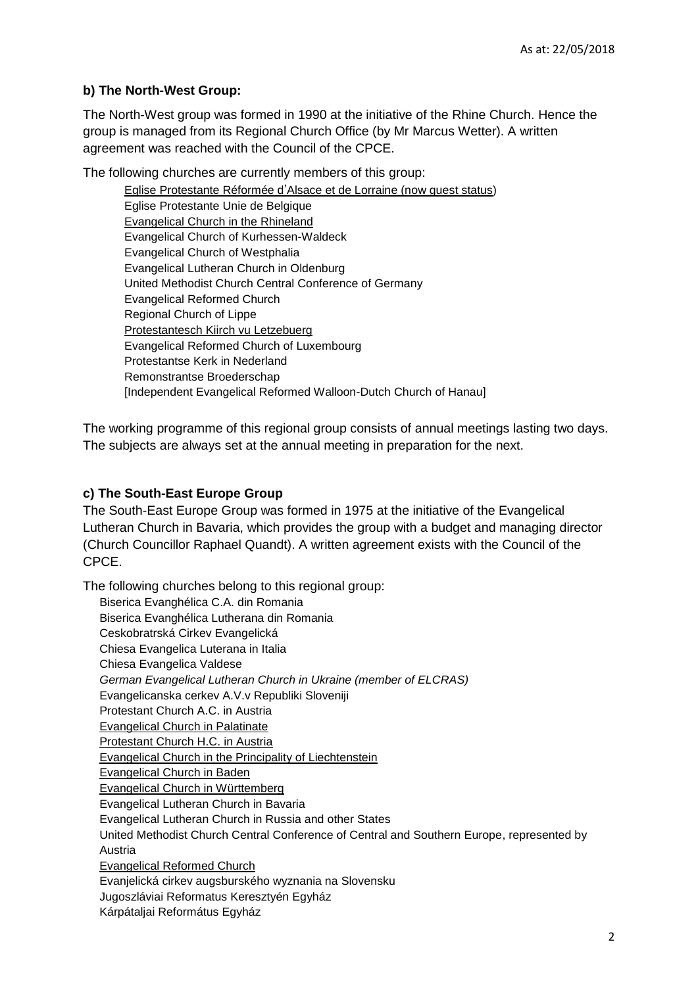#### **b) The North-West Group:**

The North-West group was formed in 1990 at the initiative of the Rhine Church. Hence the group is managed from its Regional Church Office (by Mr Marcus Wetter). A written agreement was reached with the Council of the CPCE.

The following churches are currently members of this group:

Eglise Protestante Réformée d'Alsace et de Lorraine (now guest status) Eglise Protestante Unie de Belgique Evangelical Church in the Rhineland Evangelical Church of Kurhessen-Waldeck Evangelical Church of Westphalia Evangelical Lutheran Church in Oldenburg United Methodist Church Central Conference of Germany Evangelical Reformed Church Regional Church of Lippe Protestantesch Kiirch vu Letzebuerg Evangelical Reformed Church of Luxembourg Protestantse Kerk in Nederland Remonstrantse Broederschap [Independent Evangelical Reformed Walloon-Dutch Church of Hanau]

The working programme of this regional group consists of annual meetings lasting two days. The subjects are always set at the annual meeting in preparation for the next.

#### **c) The South-East Europe Group**

The South-East Europe Group was formed in 1975 at the initiative of the Evangelical Lutheran Church in Bavaria, which provides the group with a budget and managing director (Church Councillor Raphael Quandt). A written agreement exists with the Council of the CPCE.

The following churches belong to this regional group: Biserica Evanghélica C.A. din Romania Biserica Evanghélica Lutherana din Romania Ceskobratrská Cirkev Evangelická Chiesa Evangelica Luterana in Italia Chiesa Evangelica Valdese *German Evangelical Lutheran Church in Ukraine (member of ELCRAS)* Evangelicanska cerkev A.V.v Republiki Sloveniji Protestant Church A.C. in Austria Evangelical Church in Palatinate Protestant Church H.C. in Austria Evangelical Church in the Principality of Liechtenstein Evangelical Church in Baden Evangelical Church in Württemberg Evangelical Lutheran Church in Bavaria Evangelical Lutheran Church in Russia and other States United Methodist Church Central Conference of Central and Southern Europe, represented by Austria Evangelical Reformed Church Evanjelická cirkev augsburského wyznania na Slovensku Jugoszláviai Reformatus Keresztyén Egyház Kárpátaljai Református Egyház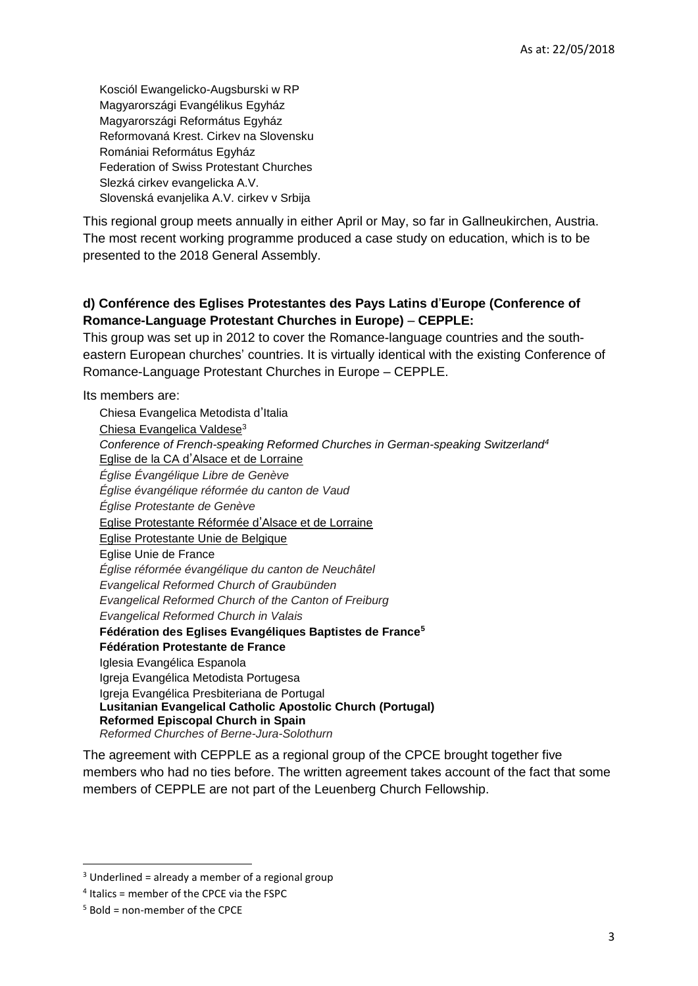Kosciól Ewangelicko-Augsburski w RP Magyarországi Evangélikus Egyház Magyarországi Református Egyház Reformovaná Krest. Cirkev na Slovensku Romániai Református Egyház Federation of Swiss Protestant Churches Slezká cirkev evangelicka A.V. Slovenská evanjelika A.V. cirkev v Srbija

This regional group meets annually in either April or May, so far in Gallneukirchen, Austria. The most recent working programme produced a case study on education, which is to be presented to the 2018 General Assembly.

## **d) Conférence des Eglises Protestantes des Pays Latins d**'**Europe (Conference of Romance-Language Protestant Churches in Europe)** – **CEPPLE:**

This group was set up in 2012 to cover the Romance-language countries and the southeastern European churches' countries. It is virtually identical with the existing Conference of Romance-Language Protestant Churches in Europe – CEPPLE.

Its members are:

Chiesa Evangelica Metodista d'Italia Chiesa Evangelica Valdese<sup>3</sup> *Conference of French-speaking Reformed Churches in German-speaking Switzerland<sup>4</sup>* Eglise de la CA d'Alsace et de Lorraine *Église Évangélique Libre de Genève Église évangélique réformée du canton de Vaud Église Protestante de Genève* Eglise Protestante Réformée d'Alsace et de Lorraine Eglise Protestante Unie de Belgique Eglise Unie de France *Église réformée évangélique du canton de Neuchâtel Evangelical Reformed Church of Graubünden Evangelical Reformed Church of the Canton of Freiburg Evangelical Reformed Church in Valais* **Fédération des Eglises Evangéliques Baptistes de France<sup>5</sup> Fédération Protestante de France** Iglesia Evangélica Espanola Igreja Evangélica Metodista Portugesa Igreja Evangélica Presbiteriana de Portugal **Lusitanian Evangelical Catholic Apostolic Church (Portugal) Reformed Episcopal Church in Spain** *Reformed Churches of Berne-Jura-Solothurn*

The agreement with CEPPLE as a regional group of the CPCE brought together five members who had no ties before. The written agreement takes account of the fact that some members of CEPPLE are not part of the Leuenberg Church Fellowship.

**.** 

 $3$  Underlined = already a member of a regional group

<sup>4</sup> Italics = member of the CPCE via the FSPC

 $5$  Bold = non-member of the CPCF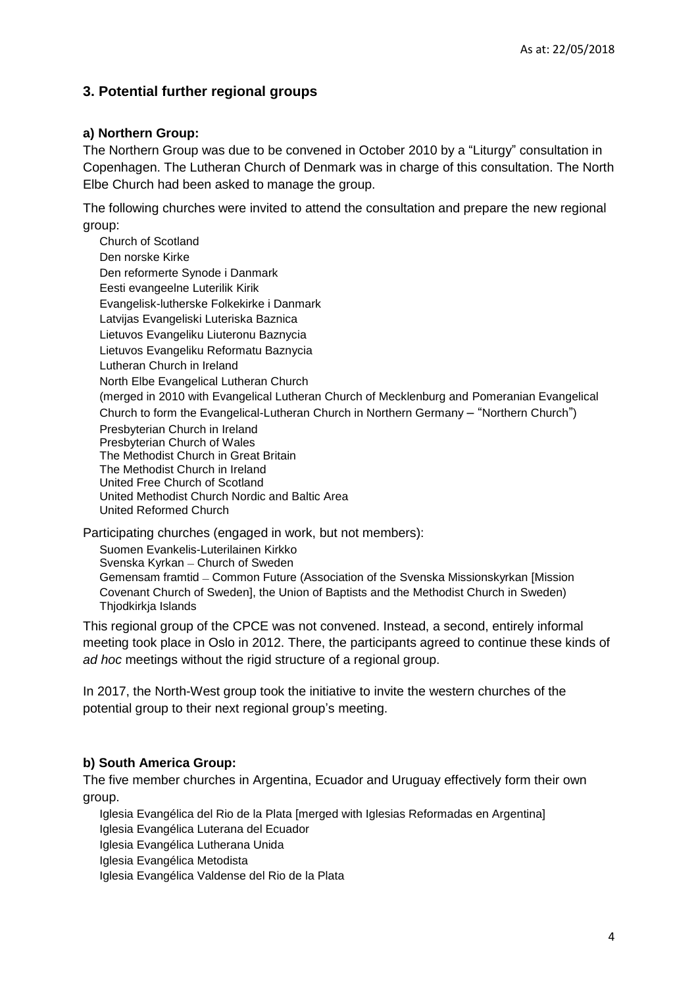# **3. Potential further regional groups**

#### **a) Northern Group:**

The Northern Group was due to be convened in October 2010 by a "Liturgy" consultation in Copenhagen. The Lutheran Church of Denmark was in charge of this consultation. The North Elbe Church had been asked to manage the group.

The following churches were invited to attend the consultation and prepare the new regional group:

Church of Scotland Den norske Kirke Den reformerte Synode i Danmark Eesti evangeelne Luterilik Kirik Evangelisk-lutherske Folkekirke i Danmark Latvijas Evangeliski Luteriska Baznica Lietuvos Evangeliku Liuteronu Baznycia Lietuvos Evangeliku Reformatu Baznycia Lutheran Church in Ireland North Elbe Evangelical Lutheran Church (merged in 2010 with Evangelical Lutheran Church of Mecklenburg and Pomeranian Evangelical Church to form the Evangelical-Lutheran Church in Northern Germany – "Northern Church") Presbyterian Church in Ireland Presbyterian Church of Wales The Methodist Church in Great Britain The Methodist Church in Ireland United Free Church of Scotland United Methodist Church Nordic and Baltic Area United Reformed Church

Participating churches (engaged in work, but not members):

Suomen Evankelis-Luterilainen Kirkko

Svenska Kyrkan – Church of Sweden

Gemensam framtid – Common Future (Association of the Svenska Missionskyrkan [Mission Covenant Church of Sweden], the Union of Baptists and the Methodist Church in Sweden) Thjodkirkja Islands

This regional group of the CPCE was not convened. Instead, a second, entirely informal meeting took place in Oslo in 2012. There, the participants agreed to continue these kinds of *ad hoc* meetings without the rigid structure of a regional group.

In 2017, the North-West group took the initiative to invite the western churches of the potential group to their next regional group's meeting.

## **b) South America Group:**

The five member churches in Argentina, Ecuador and Uruguay effectively form their own group.

Iglesia Evangélica del Rio de la Plata [merged with Iglesias Reformadas en Argentina] Iglesia Evangélica Luterana del Ecuador

Iglesia Evangélica Lutherana Unida

Iglesia Evangélica Metodista

Iglesia Evangélica Valdense del Rio de la Plata